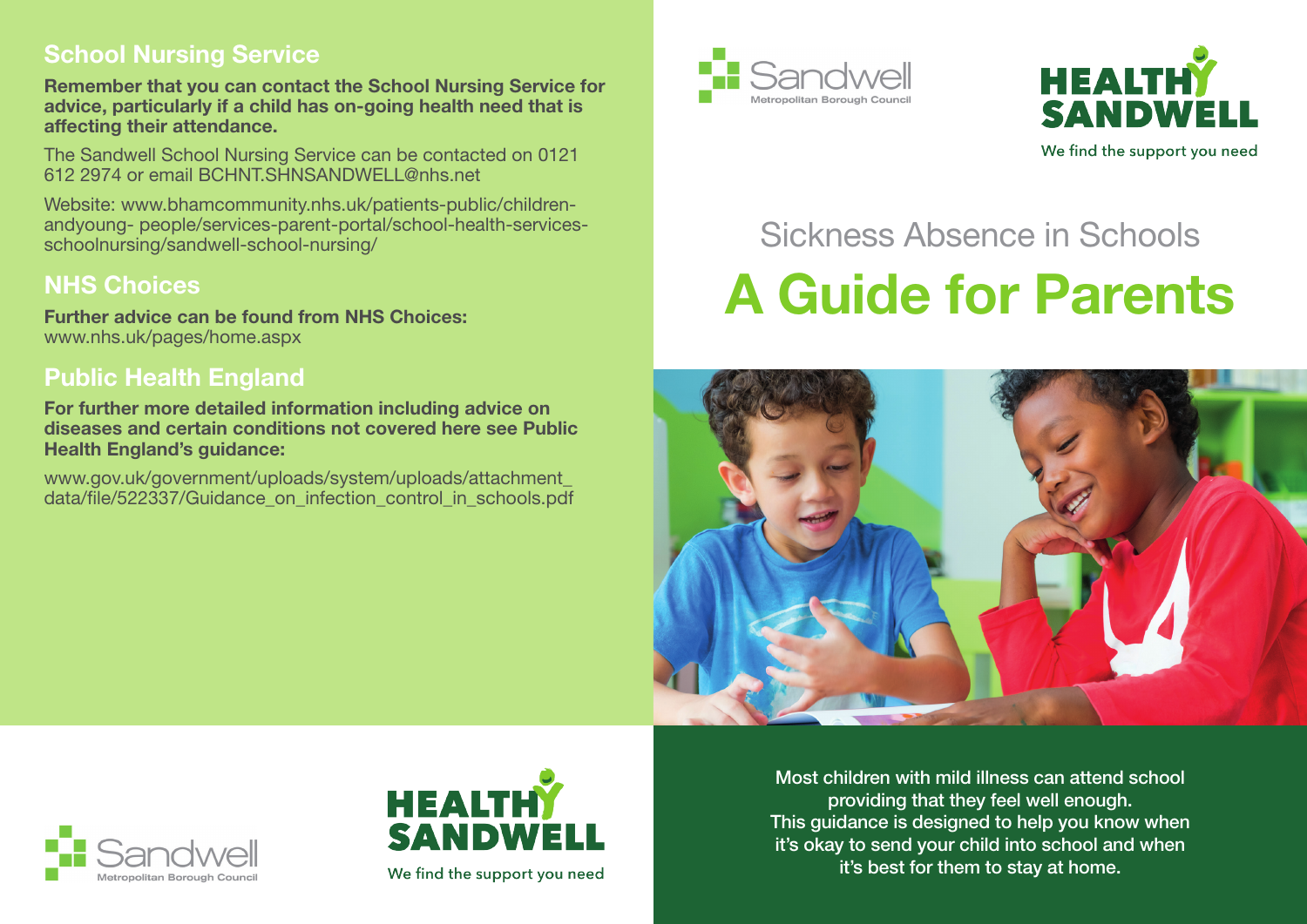#### **School Nursing Service**

**Remember that you can contact the School Nursing Service for advice, particularly if a child has on-going health need that is affecting their attendance.**

The Sandwell School Nursing Service can be contacted on 0121 612 2974 or email BCHNT.SHNSANDWELL@nhs.net

Website: www.bhamcommunity.nhs.uk/patients-public/childrenandyoung- people/services-parent-portal/school-health-servicesschoolnursing/sandwell-school-nursing/

## **NHS Choices**

**Further advice can be found from NHS Choices:** www.nhs.uk/pages/home.aspx

## **Public Health England**

**For further more detailed information including advice on diseases and certain conditions not covered here see Public Health England's guidance:**

www.gov.uk/government/uploads/system/uploads/attachment\_ data/file/522337/Guidance\_on\_infection\_control\_in\_schools.pdf





#### We find the support you need

# Sickness Absence in Schools **A Guide for Parents**







We find the support you need

Most children with mild illness can attend school providing that they feel well enough. This guidance is designed to help you know when it's okay to send your child into school and when it's best for them to stay at home.